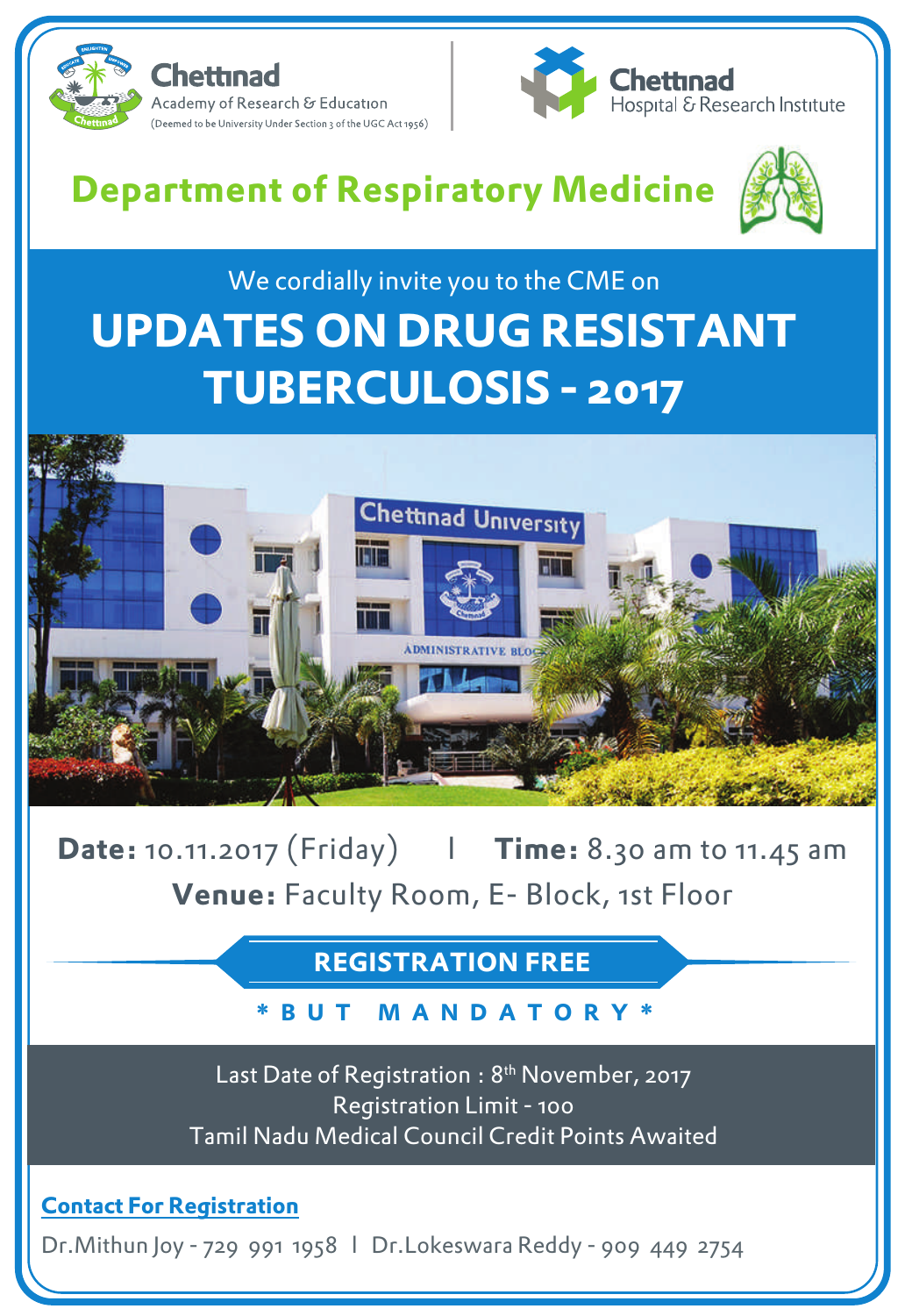



# **Department of Respiratory Medicine**



## We cordially invite you to the CME on **UPDATES ON DRUG RESISTANT TUBERCULOSIS - 2017**



**Date:** 10.11.2017 (Friday) l **Time:** 8.30 am to 11.45 am **Venue:** Faculty Room, E- Block, 1st Floor

**REGISTRATION FREE**

### **\* BUT M ANDA T ORY \***

Last Date of Registration : 8<sup>th</sup> November, 2017 Registration Limit - 100 Tamil Nadu Medical Council Credit Points Awaited

**Contact For Registration** 

Dr.Mithun Joy - 729 991 1958 l Dr.Lokeswara Reddy - 909 449 2754